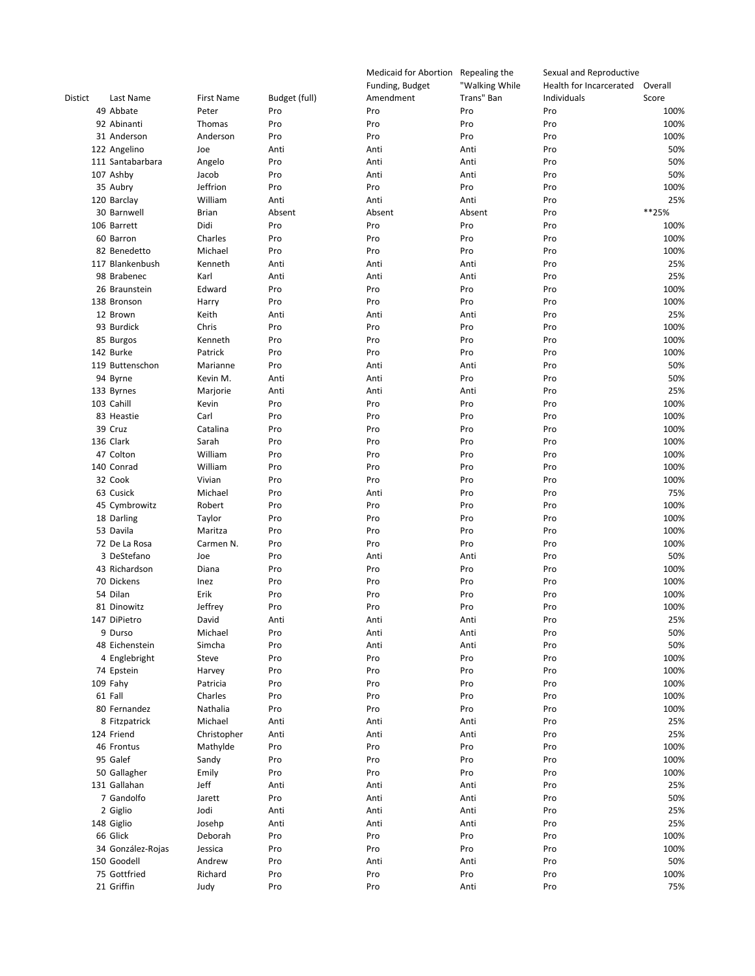|         |                   |                   |               | Medicaid for Abortion | Repealing the  | Sexual and Reproductive |         |
|---------|-------------------|-------------------|---------------|-----------------------|----------------|-------------------------|---------|
|         |                   |                   |               | Funding, Budget       | "Walking While | Health for Incarcerated | Overall |
| Distict | Last Name         | <b>First Name</b> | Budget (full) | Amendment             | Trans" Ban     | Individuals             | Score   |
|         | 49 Abbate         | Peter             | Pro           | Pro                   | Pro            | Pro                     | 100%    |
|         | 92 Abinanti       | Thomas            | Pro           | Pro                   | Pro            | Pro                     | 100%    |
|         | 31 Anderson       | Anderson          | Pro           | Pro                   | Pro            | Pro                     | 100%    |
|         |                   |                   |               |                       |                |                         |         |
|         | 122 Angelino      | Joe               | Anti          | Anti                  | Anti           | Pro                     | 50%     |
|         | 111 Santabarbara  | Angelo            | Pro           | Anti                  | Anti           | Pro                     | 50%     |
|         | 107 Ashby         | Jacob             | Pro           | Anti                  | Anti           | Pro                     | 50%     |
|         | 35 Aubry          | Jeffrion          | Pro           | Pro                   | Pro            | Pro                     | 100%    |
|         | 120 Barclay       | William           | Anti          | Anti                  | Anti           | Pro                     | 25%     |
|         | 30 Barnwell       | <b>Brian</b>      | Absent        | Absent                | Absent         | Pro                     | **25%   |
|         | 106 Barrett       | Didi              | Pro           | Pro                   | Pro            | Pro                     | 100%    |
|         | 60 Barron         | Charles           | Pro           | Pro                   | Pro            | Pro                     | 100%    |
|         | 82 Benedetto      | Michael           | Pro           | Pro                   | Pro            | Pro                     | 100%    |
|         |                   |                   |               |                       |                |                         |         |
|         | 117 Blankenbush   | Kenneth           | Anti          | Anti                  | Anti           | Pro                     | 25%     |
|         | 98 Brabenec       | Karl              | Anti          | Anti                  | Anti           | Pro                     | 25%     |
|         | 26 Braunstein     | Edward            | Pro           | Pro                   | Pro            | Pro                     | 100%    |
|         | 138 Bronson       | Harry             | Pro           | Pro                   | Pro            | Pro                     | 100%    |
|         | 12 Brown          | Keith             | Anti          | Anti                  | Anti           | Pro                     | 25%     |
|         | 93 Burdick        | Chris             | Pro           | Pro                   | Pro            | Pro                     | 100%    |
|         | 85 Burgos         | Kenneth           | Pro           | Pro                   | Pro            | Pro                     | 100%    |
|         | 142 Burke         | Patrick           | Pro           | Pro                   | Pro            | Pro                     | 100%    |
|         |                   |                   |               |                       |                |                         |         |
|         | 119 Buttenschon   | Marianne          | Pro           | Anti                  | Anti           | Pro                     | 50%     |
|         | 94 Byrne          | Kevin M.          | Anti          | Anti                  | Pro            | Pro                     | 50%     |
|         | 133 Byrnes        | Marjorie          | Anti          | Anti                  | Anti           | Pro                     | 25%     |
|         | 103 Cahill        | Kevin             | Pro           | Pro                   | Pro            | Pro                     | 100%    |
|         | 83 Heastie        | Carl              | Pro           | Pro                   | Pro            | Pro                     | 100%    |
|         | 39 Cruz           | Catalina          | Pro           | Pro                   | Pro            | Pro                     | 100%    |
|         | 136 Clark         | Sarah             | Pro           | Pro                   | Pro            | Pro                     | 100%    |
|         | 47 Colton         | William           | Pro           | Pro                   | Pro            | Pro                     | 100%    |
|         | 140 Conrad        | William           | Pro           | Pro                   | Pro            | Pro                     | 100%    |
|         |                   |                   |               |                       |                |                         |         |
|         | 32 Cook           | Vivian            | Pro           | Pro                   | Pro            | Pro                     | 100%    |
|         | 63 Cusick         | Michael           | Pro           | Anti                  | Pro            | Pro                     | 75%     |
|         | 45 Cymbrowitz     | Robert            | Pro           | Pro                   | Pro            | Pro                     | 100%    |
|         | 18 Darling        | Taylor            | Pro           | Pro                   | Pro            | Pro                     | 100%    |
|         | 53 Davila         | Maritza           | Pro           | Pro                   | Pro            | Pro                     | 100%    |
|         | 72 De La Rosa     | Carmen N.         | Pro           | Pro                   | Pro            | Pro                     | 100%    |
|         | 3 DeStefano       | Joe               | Pro           | Anti                  | Anti           | Pro                     | 50%     |
|         | 43 Richardson     | Diana             | Pro           | Pro                   | Pro            | Pro                     | 100%    |
|         | 70 Dickens        |                   |               |                       |                |                         |         |
|         |                   | Inez              | Pro           | Pro                   | Pro            | Pro                     | 100%    |
|         | 54 Dilan          | Erik              | Pro           | Pro                   | Pro            | Pro                     | 100%    |
|         | 81 Dinowitz       | Jeffrey           | Pro           | Pro                   | Pro            | Pro                     | 100%    |
|         | 147 DiPietro      | David             | Anti          | Anti                  | Anti           | Pro                     | 25%     |
|         | 9 Durso           | Michael           | Pro           | Anti                  | Anti           | Pro                     | 50%     |
|         | 48 Eichenstein    | Simcha            | Pro           | Anti                  | Anti           | Pro                     | 50%     |
|         | 4 Englebright     | Steve             | Pro           | Pro                   | Pro            | Pro                     | 100%    |
|         | 74 Epstein        | Harvey            | Pro           | Pro                   | Pro            | Pro                     | 100%    |
|         | 109 Fahy          | Patricia          | Pro           | Pro                   | Pro            | Pro                     | 100%    |
|         | 61 Fall           |                   |               |                       |                |                         |         |
|         |                   | Charles           | Pro           | Pro                   | Pro            | Pro                     | 100%    |
|         | 80 Fernandez      | Nathalia          | Pro           | Pro                   | Pro            | Pro                     | 100%    |
|         | 8 Fitzpatrick     | Michael           | Anti          | Anti                  | Anti           | Pro                     | 25%     |
|         | 124 Friend        | Christopher       | Anti          | Anti                  | Anti           | Pro                     | 25%     |
|         | 46 Frontus        | Mathylde          | Pro           | Pro                   | Pro            | Pro                     | 100%    |
|         | 95 Galef          | Sandy             | Pro           | Pro                   | Pro            | Pro                     | 100%    |
|         | 50 Gallagher      | Emily             | Pro           | Pro                   | Pro            | Pro                     | 100%    |
|         | 131 Gallahan      | Jeff              | Anti          | Anti                  | Anti           | Pro                     | 25%     |
|         | 7 Gandolfo        |                   |               |                       |                |                         | 50%     |
|         |                   | Jarett            | Pro           | Anti                  | Anti           | Pro                     |         |
|         | 2 Giglio          | Jodi              | Anti          | Anti                  | Anti           | Pro                     | 25%     |
|         | 148 Giglio        | Josehp            | Anti          | Anti                  | Anti           | Pro                     | 25%     |
|         | 66 Glick          | Deborah           | Pro           | Pro                   | Pro            | Pro                     | 100%    |
|         | 34 González-Rojas | Jessica           | Pro           | Pro                   | Pro            | Pro                     | 100%    |
|         | 150 Goodell       | Andrew            | Pro           | Anti                  | Anti           | Pro                     | 50%     |
|         | 75 Gottfried      | Richard           | Pro           | Pro                   | Pro            | Pro                     | 100%    |
|         | 21 Griffin        | Judy              | Pro           | Pro                   | Anti           | Pro                     | 75%     |
|         |                   |                   |               |                       |                |                         |         |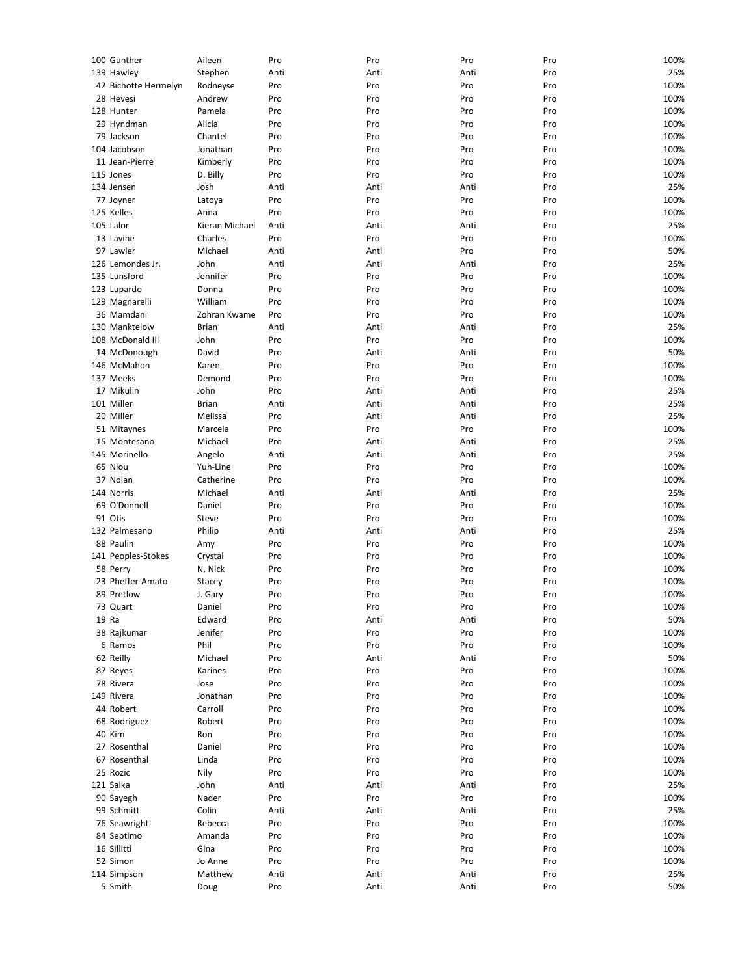| 100 Gunther          | Aileen         | Pro  | Pro  | Pro  | Pro | 100% |
|----------------------|----------------|------|------|------|-----|------|
| 139 Hawley           | Stephen        | Anti | Anti | Anti | Pro | 25%  |
| 42 Bichotte Hermelyn | Rodneyse       | Pro  | Pro  | Pro  | Pro | 100% |
| 28 Hevesi            | Andrew         | Pro  | Pro  | Pro  | Pro | 100% |
| 128 Hunter           | Pamela         | Pro  | Pro  | Pro  | Pro | 100% |
| 29 Hyndman           | Alicia         | Pro  | Pro  | Pro  | Pro | 100% |
| 79 Jackson           | Chantel        | Pro  | Pro  | Pro  | Pro | 100% |
| 104 Jacobson         | Jonathan       | Pro  | Pro  | Pro  | Pro | 100% |
| 11 Jean-Pierre       | Kimberly       | Pro  | Pro  | Pro  | Pro | 100% |
| 115 Jones            | D. Billy       | Pro  | Pro  | Pro  | Pro | 100% |
| 134 Jensen           | Josh           | Anti | Anti | Anti | Pro | 25%  |
| 77 Joyner            | Latoya         | Pro  | Pro  | Pro  | Pro | 100% |
| 125 Kelles           | Anna           | Pro  | Pro  | Pro  | Pro | 100% |
| 105 Lalor            | Kieran Michael | Anti | Anti | Anti | Pro | 25%  |
| 13 Lavine            | Charles        | Pro  | Pro  | Pro  | Pro | 100% |
| 97 Lawler            | Michael        | Anti | Anti | Pro  | Pro | 50%  |
| 126 Lemondes Jr.     | John           | Anti | Anti | Anti | Pro | 25%  |
| 135 Lunsford         | Jennifer       | Pro  | Pro  | Pro  | Pro | 100% |
| 123 Lupardo          | Donna          | Pro  | Pro  | Pro  | Pro | 100% |
|                      | William        | Pro  |      |      | Pro |      |
| 129 Magnarelli       |                |      | Pro  | Pro  |     | 100% |
| 36 Mamdani           | Zohran Kwame   | Pro  | Pro  | Pro  | Pro | 100% |
| 130 Manktelow        | <b>Brian</b>   | Anti | Anti | Anti | Pro | 25%  |
| 108 McDonald III     | John           | Pro  | Pro  | Pro  | Pro | 100% |
| 14 McDonough         | David          | Pro  | Anti | Anti | Pro | 50%  |
| 146 McMahon          | Karen          | Pro  | Pro  | Pro  | Pro | 100% |
| 137 Meeks            | Demond         | Pro  | Pro  | Pro  | Pro | 100% |
| 17 Mikulin           | John           | Pro  | Anti | Anti | Pro | 25%  |
| 101 Miller           | <b>Brian</b>   | Anti | Anti | Anti | Pro | 25%  |
| 20 Miller            | Melissa        | Pro  | Anti | Anti | Pro | 25%  |
| 51 Mitaynes          | Marcela        | Pro  | Pro  | Pro  | Pro | 100% |
| 15 Montesano         | Michael        | Pro  | Anti | Anti | Pro | 25%  |
| 145 Morinello        | Angelo         | Anti | Anti | Anti | Pro | 25%  |
| 65 Niou              | Yuh-Line       | Pro  | Pro  | Pro  | Pro | 100% |
| 37 Nolan             | Catherine      | Pro  | Pro  | Pro  | Pro | 100% |
| 144 Norris           |                |      |      |      | Pro | 25%  |
|                      | Michael        | Anti | Anti | Anti |     |      |
| 69 O'Donnell         | Daniel         | Pro  | Pro  | Pro  | Pro | 100% |
| 91 Otis              | Steve          | Pro  | Pro  | Pro  | Pro | 100% |
| 132 Palmesano        | Philip         | Anti | Anti | Anti | Pro | 25%  |
| 88 Paulin            | Amy            | Pro  | Pro  | Pro  | Pro | 100% |
| 141 Peoples-Stokes   | Crystal        | Pro  | Pro  | Pro  | Pro | 100% |
| 58 Perry             | N. Nick        | Pro  | Pro  | Pro  | Pro | 100% |
| 23 Pheffer-Amato     | Stacey         | Pro  | Pro  | Pro  | Pro | 100% |
| 89 Pretlow           | J. Gary        | Pro  | Pro  | Pro  | Pro | 100% |
| 73 Quart             | Daniel         | Pro  | Pro  | Pro  | Pro | 100% |
| 19 Ra                | Edward         | Pro  | Anti | Anti | Pro | 50%  |
| 38 Rajkumar          | Jenifer        | Pro  | Pro  | Pro  | Pro | 100% |
| 6 Ramos              | Phil           | Pro  | Pro  | Pro  | Pro | 100% |
| 62 Reilly            | Michael        | Pro  | Anti | Anti | Pro | 50%  |
| 87 Reyes             | Karines        | Pro  | Pro  | Pro  | Pro | 100% |
| 78 Rivera            | Jose           | Pro  | Pro  | Pro  | Pro | 100% |
| 149 Rivera           | Jonathan       | Pro  | Pro  | Pro  | Pro | 100% |
|                      |                |      |      |      |     |      |
| 44 Robert            | Carroll        | Pro  | Pro  | Pro  | Pro | 100% |
| 68 Rodriguez         | Robert         | Pro  | Pro  | Pro  | Pro | 100% |
| 40 Kim               | Ron            | Pro  | Pro  | Pro  | Pro | 100% |
| 27 Rosenthal         | Daniel         | Pro  | Pro  | Pro  | Pro | 100% |
| 67 Rosenthal         | Linda          | Pro  | Pro  | Pro  | Pro | 100% |
| 25 Rozic             | Nily           | Pro  | Pro  | Pro  | Pro | 100% |
| 121 Salka            | John           | Anti | Anti | Anti | Pro | 25%  |
| 90 Sayegh            | Nader          | Pro  | Pro  | Pro  | Pro | 100% |
| 99 Schmitt           | Colin          | Anti | Anti | Anti | Pro | 25%  |
| 76 Seawright         | Rebecca        | Pro  | Pro  | Pro  | Pro | 100% |
| 84 Septimo           | Amanda         | Pro  | Pro  | Pro  | Pro | 100% |
| 16 Sillitti          | Gina           | Pro  | Pro  | Pro  | Pro | 100% |
| 52 Simon             | Jo Anne        | Pro  | Pro  | Pro  | Pro | 100% |
| 114 Simpson          | Matthew        | Anti | Anti | Anti | Pro | 25%  |
| 5 Smith              | Doug           | Pro  | Anti | Anti | Pro | 50%  |
|                      |                |      |      |      |     |      |